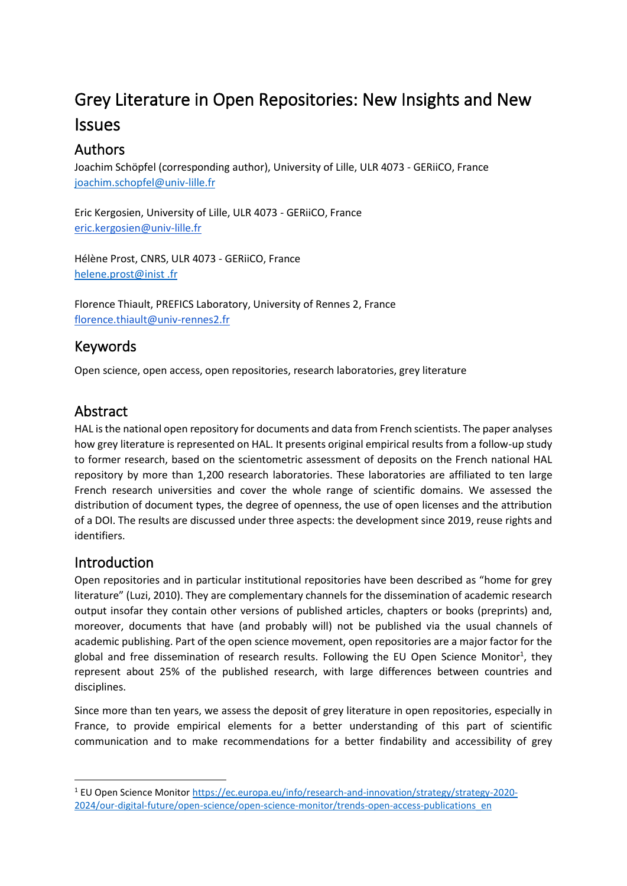# Grey Literature in Open Repositories: New Insights and New Issues

# Authors

Joachim Schöpfel (corresponding author), University of Lille, ULR 4073 - GERiiCO, France [joachim.schopfel@univ-lille.fr](mailto:joachim.schopfel@univ-lille.fr)

Eric Kergosien, University of Lille, ULR 4073 - GERiiCO, France [eric.kergosien@univ-lille.fr](mailto:eric.kergosien@univ-lille.fr)

Hélène Prost, CNRS, ULR 4073 - GERiiCO, France [helene.prost@inist .fr](about:blank)

Florence Thiault, PREFICS Laboratory, University of Rennes 2, France [florence.thiault@univ-rennes2.fr](mailto:florence.thiault@univ-rennes2.fr)

# Keywords

Open science, open access, open repositories, research laboratories, grey literature

# Abstract

HAL is the national open repository for documents and data from French scientists. The paper analyses how grey literature is represented on HAL. It presents original empirical results from a follow-up study to former research, based on the scientometric assessment of deposits on the French national HAL repository by more than 1,200 research laboratories. These laboratories are affiliated to ten large French research universities and cover the whole range of scientific domains. We assessed the distribution of document types, the degree of openness, the use of open licenses and the attribution of a DOI. The results are discussed under three aspects: the development since 2019, reuse rights and identifiers.

### Introduction

Open repositories and in particular institutional repositories have been described as "home for grey literature" (Luzi, 2010). They are complementary channels for the dissemination of academic research output insofar they contain other versions of published articles, chapters or books (preprints) and, moreover, documents that have (and probably will) not be published via the usual channels of academic publishing. Part of the open science movement, open repositories are a major factor for the global and free dissemination of research results. Following the EU Open Science Monitor<sup>1</sup>, they represent about 25% of the published research, with large differences between countries and disciplines.

Since more than ten years, we assess the deposit of grey literature in open repositories, especially in France, to provide empirical elements for a better understanding of this part of scientific communication and to make recommendations for a better findability and accessibility of grey

<sup>1</sup> EU Open Science Monitor [https://ec.europa.eu/info/research-and-innovation/strategy/strategy-2020-](https://ec.europa.eu/info/research-and-innovation/strategy/strategy-2020-2024/our-digital-future/open-science/open-science-monitor/trends-open-access-publications_en) [2024/our-digital-future/open-science/open-science-monitor/trends-open-access-publications\\_en](https://ec.europa.eu/info/research-and-innovation/strategy/strategy-2020-2024/our-digital-future/open-science/open-science-monitor/trends-open-access-publications_en)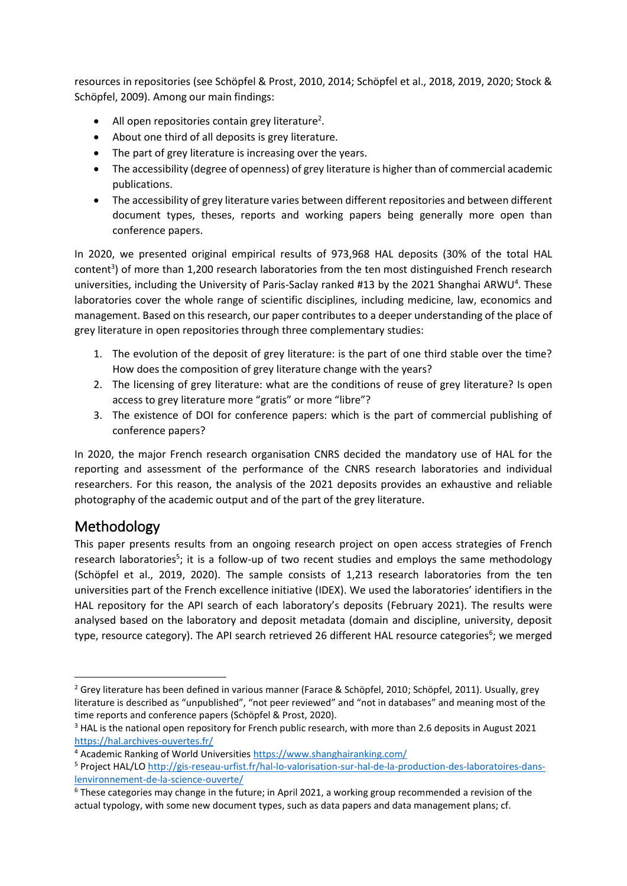resources in repositories (see Schöpfel & Prost, 2010, 2014; Schöpfel et al., 2018, 2019, 2020; Stock & Schöpfel, 2009). Among our main findings:

- All open repositories contain grey literature<sup>2</sup>.
- About one third of all deposits is grey literature.
- The part of grey literature is increasing over the years.
- The accessibility (degree of openness) of grey literature is higher than of commercial academic publications.
- The accessibility of grey literature varies between different repositories and between different document types, theses, reports and working papers being generally more open than conference papers.

In 2020, we presented original empirical results of 973,968 HAL deposits (30% of the total HAL content<sup>3</sup>) of more than 1,200 research laboratories from the ten most distinguished French research universities, including the University of Paris-Saclay ranked #13 by the 2021 Shanghai ARWU<sup>4</sup>. These laboratories cover the whole range of scientific disciplines, including medicine, law, economics and management. Based on this research, our paper contributes to a deeper understanding of the place of grey literature in open repositories through three complementary studies:

- 1. The evolution of the deposit of grey literature: is the part of one third stable over the time? How does the composition of grey literature change with the years?
- 2. The licensing of grey literature: what are the conditions of reuse of grey literature? Is open access to grey literature more "gratis" or more "libre"?
- 3. The existence of DOI for conference papers: which is the part of commercial publishing of conference papers?

In 2020, the major French research organisation CNRS decided the mandatory use of HAL for the reporting and assessment of the performance of the CNRS research laboratories and individual researchers. For this reason, the analysis of the 2021 deposits provides an exhaustive and reliable photography of the academic output and of the part of the grey literature.

# Methodology

This paper presents results from an ongoing research project on open access strategies of French research laboratories<sup>5</sup>; it is a follow-up of two recent studies and employs the same methodology (Schöpfel et al., 2019, 2020). The sample consists of 1,213 research laboratories from the ten universities part of the French excellence initiative (IDEX). We used the laboratories' identifiers in the HAL repository for the API search of each laboratory's deposits (February 2021). The results were analysed based on the laboratory and deposit metadata (domain and discipline, university, deposit type, resource category). The API search retrieved 26 different HAL resource categories<sup>6</sup>; we merged

<sup>&</sup>lt;sup>2</sup> Grey literature has been defined in various manner (Farace & Schöpfel, 2010; Schöpfel, 2011). Usually, grey literature is described as "unpublished", "not peer reviewed" and "not in databases" and meaning most of the time reports and conference papers (Schöpfel & Prost, 2020).

<sup>&</sup>lt;sup>3</sup> HAL is the national open repository for French public research, with more than 2.6 deposits in August 2021 <https://hal.archives-ouvertes.fr/>

<sup>4</sup> Academic Ranking of World Universitie[s https://www.shanghairanking.com/](https://www.shanghairanking.com/)

<sup>5</sup> Project HAL/L[O http://gis-reseau-urfist.fr/hal-lo-valorisation-sur-hal-de-la-production-des-laboratoires-dans](http://gis-reseau-urfist.fr/hal-lo-valorisation-sur-hal-de-la-production-des-laboratoires-dans-lenvironnement-de-la-science-ouverte/)[lenvironnement-de-la-science-ouverte/](http://gis-reseau-urfist.fr/hal-lo-valorisation-sur-hal-de-la-production-des-laboratoires-dans-lenvironnement-de-la-science-ouverte/)

 $6$  These categories may change in the future; in April 2021, a working group recommended a revision of the actual typology, with some new document types, such as data papers and data management plans; cf.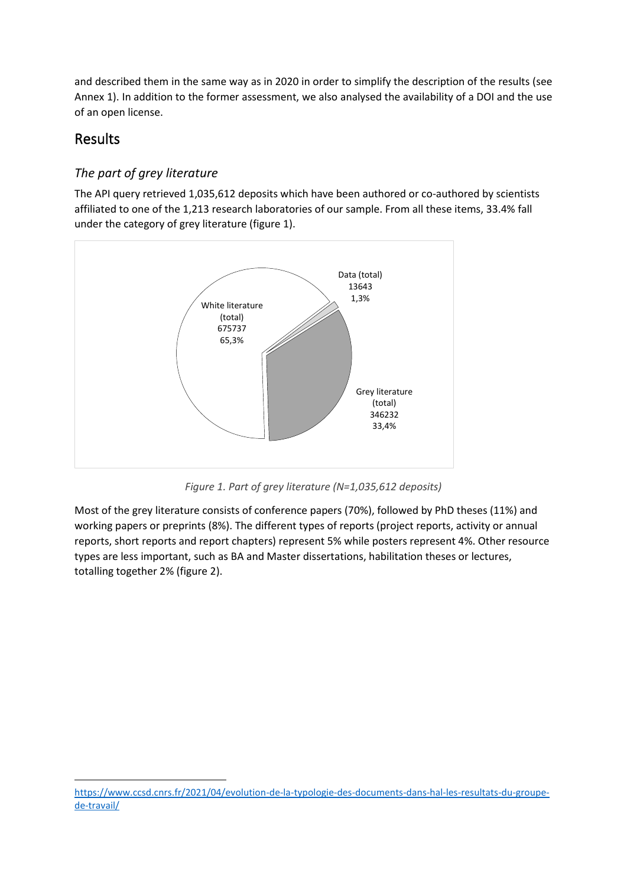and described them in the same way as in 2020 in order to simplify the description of the results (see Annex 1). In addition to the former assessment, we also analysed the availability of a DOI and the use of an open license.

## Results

### *The part of grey literature*

The API query retrieved 1,035,612 deposits which have been authored or co-authored by scientists affiliated to one of the 1,213 research laboratories of our sample. From all these items, 33.4% fall under the category of grey literature (figure 1).



*Figure 1. Part of grey literature (N=1,035,612 deposits)*

Most of the grey literature consists of conference papers (70%), followed by PhD theses (11%) and working papers or preprints (8%). The different types of reports (project reports, activity or annual reports, short reports and report chapters) represent 5% while posters represent 4%. Other resource types are less important, such as BA and Master dissertations, habilitation theses or lectures, totalling together 2% (figure 2).

[https://www.ccsd.cnrs.fr/2021/04/evolution-de-la-typologie-des-documents-dans-hal-les-resultats-du-groupe](https://www.ccsd.cnrs.fr/2021/04/evolution-de-la-typologie-des-documents-dans-hal-les-resultats-du-groupe-de-travail/)[de-travail/](https://www.ccsd.cnrs.fr/2021/04/evolution-de-la-typologie-des-documents-dans-hal-les-resultats-du-groupe-de-travail/)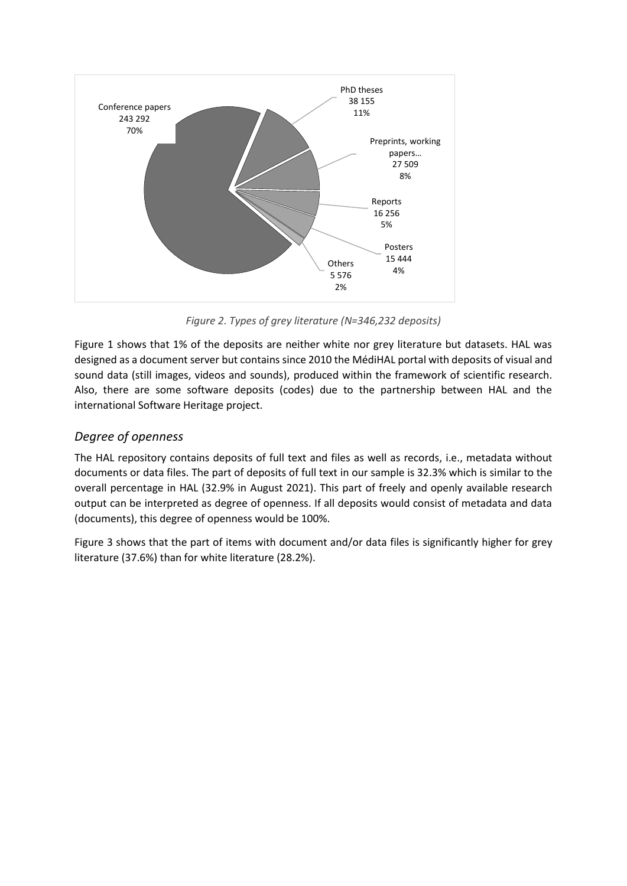

*Figure 2. Types of grey literature (N=346,232 deposits)*

Figure 1 shows that 1% of the deposits are neither white nor grey literature but datasets. HAL was designed as a document server but contains since 2010 the MédiHAL portal with deposits of visual and sound data (still images, videos and sounds), produced within the framework of scientific research. Also, there are some software deposits (codes) due to the partnership between HAL and the international Software Heritage project.

#### *Degree of openness*

The HAL repository contains deposits of full text and files as well as records, i.e., metadata without documents or data files. The part of deposits of full text in our sample is 32.3% which is similar to the overall percentage in HAL (32.9% in August 2021). This part of freely and openly available research output can be interpreted as degree of openness. If all deposits would consist of metadata and data (documents), this degree of openness would be 100%.

Figure 3 shows that the part of items with document and/or data files is significantly higher for grey literature (37.6%) than for white literature (28.2%).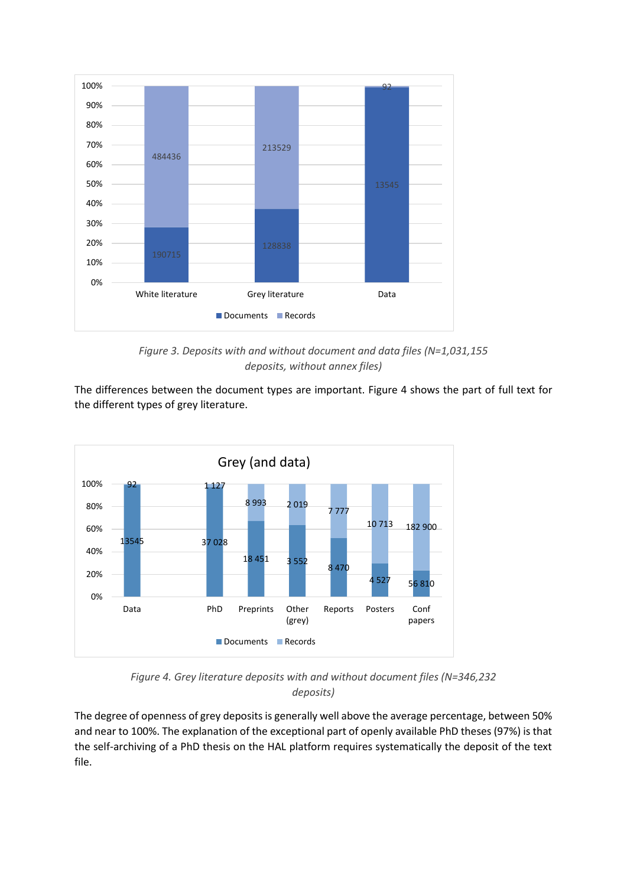

*Figure 3. Deposits with and without document and data files (N=1,031,155 deposits, without annex files)*

The differences between the document types are important. Figure 4 shows the part of full text for the different types of grey literature.



*Figure 4. Grey literature deposits with and without document files (N=346,232 deposits)*

The degree of openness of grey deposits is generally well above the average percentage, between 50% and near to 100%. The explanation of the exceptional part of openly available PhD theses (97%) is that the self-archiving of a PhD thesis on the HAL platform requires systematically the deposit of the text file.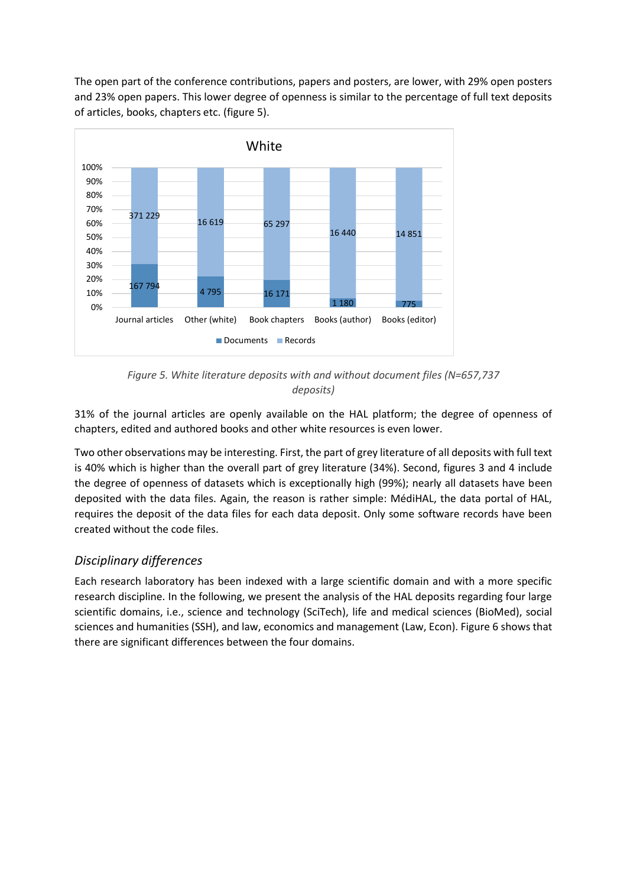The open part of the conference contributions, papers and posters, are lower, with 29% open posters and 23% open papers. This lower degree of openness is similar to the percentage of full text deposits of articles, books, chapters etc. (figure 5).



*Figure 5. White literature deposits with and without document files (N=657,737 deposits)*

31% of the journal articles are openly available on the HAL platform; the degree of openness of chapters, edited and authored books and other white resources is even lower.

Two other observations may be interesting. First, the part of grey literature of all deposits with full text is 40% which is higher than the overall part of grey literature (34%). Second, figures 3 and 4 include the degree of openness of datasets which is exceptionally high (99%); nearly all datasets have been deposited with the data files. Again, the reason is rather simple: MédiHAL, the data portal of HAL, requires the deposit of the data files for each data deposit. Only some software records have been created without the code files.

### *Disciplinary differences*

Each research laboratory has been indexed with a large scientific domain and with a more specific research discipline. In the following, we present the analysis of the HAL deposits regarding four large scientific domains, i.e., science and technology (SciTech), life and medical sciences (BioMed), social sciences and humanities (SSH), and law, economics and management (Law, Econ). Figure 6 shows that there are significant differences between the four domains.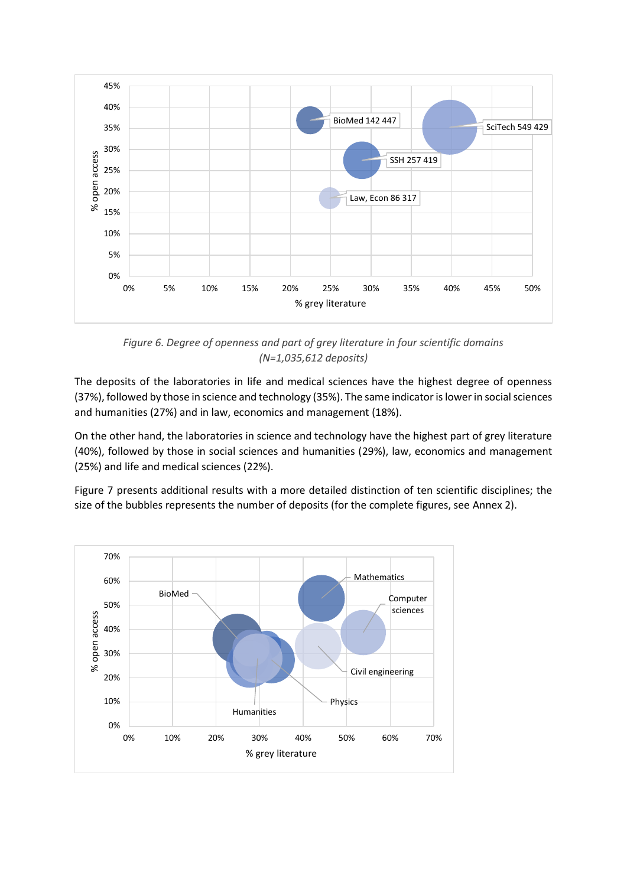

*Figure 6. Degree of openness and part of grey literature in four scientific domains (N=1,035,612 deposits)*

The deposits of the laboratories in life and medical sciences have the highest degree of openness (37%), followed by those in science and technology (35%). The same indicator is lower in social sciences and humanities (27%) and in law, economics and management (18%).

On the other hand, the laboratories in science and technology have the highest part of grey literature (40%), followed by those in social sciences and humanities (29%), law, economics and management (25%) and life and medical sciences (22%).

Figure 7 presents additional results with a more detailed distinction of ten scientific disciplines; the size of the bubbles represents the number of deposits (for the complete figures, see Annex 2).

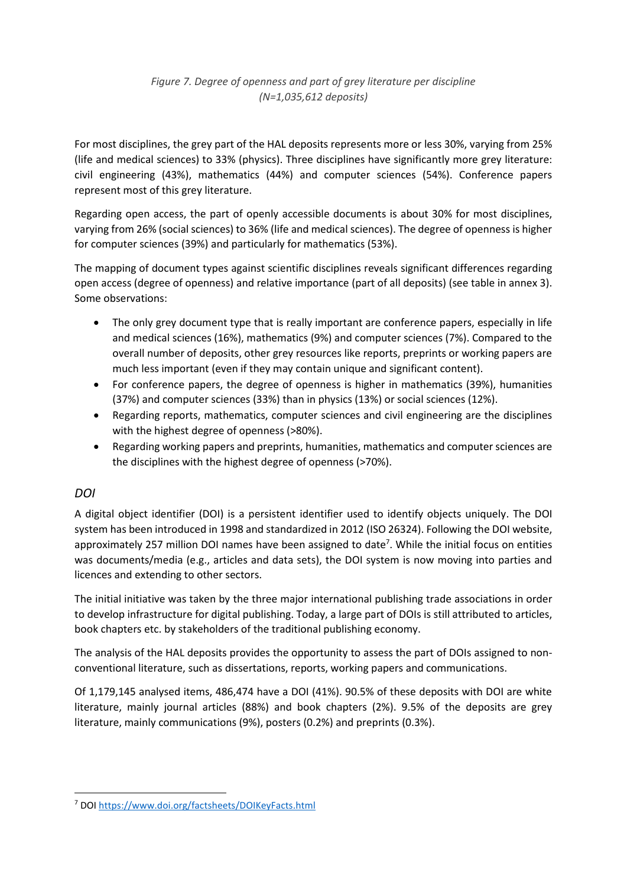For most disciplines, the grey part of the HAL deposits represents more or less 30%, varying from 25% (life and medical sciences) to 33% (physics). Three disciplines have significantly more grey literature: civil engineering (43%), mathematics (44%) and computer sciences (54%). Conference papers represent most of this grey literature.

Regarding open access, the part of openly accessible documents is about 30% for most disciplines, varying from 26% (social sciences) to 36% (life and medical sciences). The degree of openness is higher for computer sciences (39%) and particularly for mathematics (53%).

The mapping of document types against scientific disciplines reveals significant differences regarding open access (degree of openness) and relative importance (part of all deposits) (see table in annex 3). Some observations:

- The only grey document type that is really important are conference papers, especially in life and medical sciences (16%), mathematics (9%) and computer sciences (7%). Compared to the overall number of deposits, other grey resources like reports, preprints or working papers are much less important (even if they may contain unique and significant content).
- For conference papers, the degree of openness is higher in mathematics (39%), humanities (37%) and computer sciences (33%) than in physics (13%) or social sciences (12%).
- Regarding reports, mathematics, computer sciences and civil engineering are the disciplines with the highest degree of openness (>80%).
- Regarding working papers and preprints, humanities, mathematics and computer sciences are the disciplines with the highest degree of openness (>70%).

### *DOI*

A digital object identifier (DOI) is a persistent identifier used to identify objects uniquely. The DOI system has been introduced in 1998 and standardized in 2012 (ISO 26324). Following the DOI website, approximately 257 million DOI names have been assigned to date<sup>7</sup>. While the initial focus on entities was documents/media (e.g., articles and data sets), the DOI system is now moving into parties and licences and extending to other sectors.

The initial initiative was taken by the three major international publishing trade associations in order to develop infrastructure for digital publishing. Today, a large part of DOIs is still attributed to articles, book chapters etc. by stakeholders of the traditional publishing economy.

The analysis of the HAL deposits provides the opportunity to assess the part of DOIs assigned to nonconventional literature, such as dissertations, reports, working papers and communications.

Of 1,179,145 analysed items, 486,474 have a DOI (41%). 90.5% of these deposits with DOI are white literature, mainly journal articles (88%) and book chapters (2%). 9.5% of the deposits are grey literature, mainly communications (9%), posters (0.2%) and preprints (0.3%).

<sup>7</sup> DOI<https://www.doi.org/factsheets/DOIKeyFacts.html>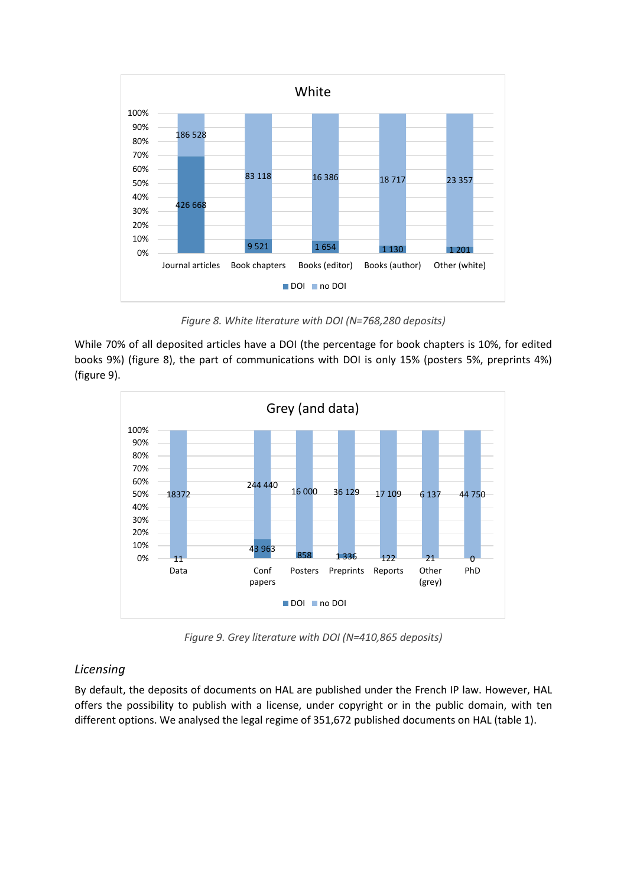

*Figure 8. White literature with DOI (N=768,280 deposits)*

While 70% of all deposited articles have a DOI (the percentage for book chapters is 10%, for edited books 9%) (figure 8), the part of communications with DOI is only 15% (posters 5%, preprints 4%) (figure 9).



*Figure 9. Grey literature with DOI (N=410,865 deposits)*

#### *Licensing*

By default, the deposits of documents on HAL are published under the French IP law. However, HAL offers the possibility to publish with a license, under copyright or in the public domain, with ten different options. We analysed the legal regime of 351,672 published documents on HAL (table 1).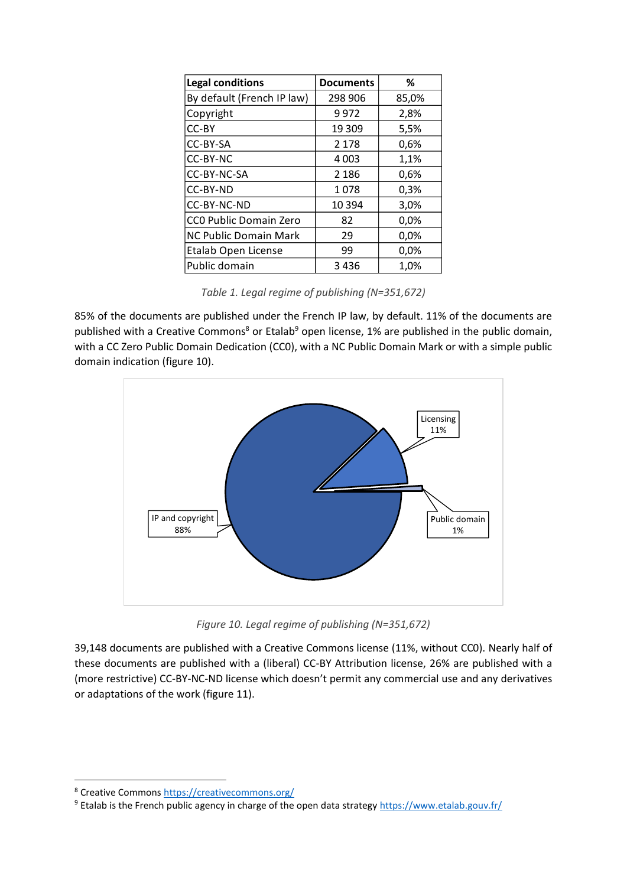| <b>Legal conditions</b>    | <b>Documents</b> | ℅     |
|----------------------------|------------------|-------|
| By default (French IP law) | 298 906          | 85,0% |
| Copyright                  | 9972             | 2,8%  |
| CC-BY                      | 19 309           | 5,5%  |
| CC-BY-SA                   | 2 1 7 8          | 0,6%  |
| CC-BY-NC                   | 4 0 0 3          | 1,1%  |
| CC-BY-NC-SA                | 2 1 8 6          | 0,6%  |
| CC-BY-ND                   | 1078             | 0,3%  |
| CC-BY-NC-ND                | 10 3 94          | 3,0%  |
| CCO Public Domain Zero     | 82               | 0,0%  |
| NC Public Domain Mark      | 29               | 0,0%  |
| Etalab Open License        | 99               | 0,0%  |
| Public domain              | 3436             | 1,0%  |

*Table 1. Legal regime of publishing (N=351,672)*

85% of the documents are published under the French IP law, by default. 11% of the documents are published with a Creative Commons<sup>8</sup> or Etalab<sup>9</sup> open license, 1% are published in the public domain, with a CC Zero Public Domain Dedication (CC0), with a NC Public Domain Mark or with a simple public domain indication (figure 10).



*Figure 10. Legal regime of publishing (N=351,672)* 

39,148 documents are published with a Creative Commons license (11%, without CC0). Nearly half of these documents are published with a (liberal) CC-BY Attribution license, 26% are published with a (more restrictive) CC-BY-NC-ND license which doesn't permit any commercial use and any derivatives or adaptations of the work (figure 11).

<sup>8</sup> Creative Common[s https://creativecommons.org/](https://creativecommons.org/)

<sup>&</sup>lt;sup>9</sup> Etalab is the French public agency in charge of the open data strateg[y https://www.etalab.gouv.fr/](https://www.etalab.gouv.fr/)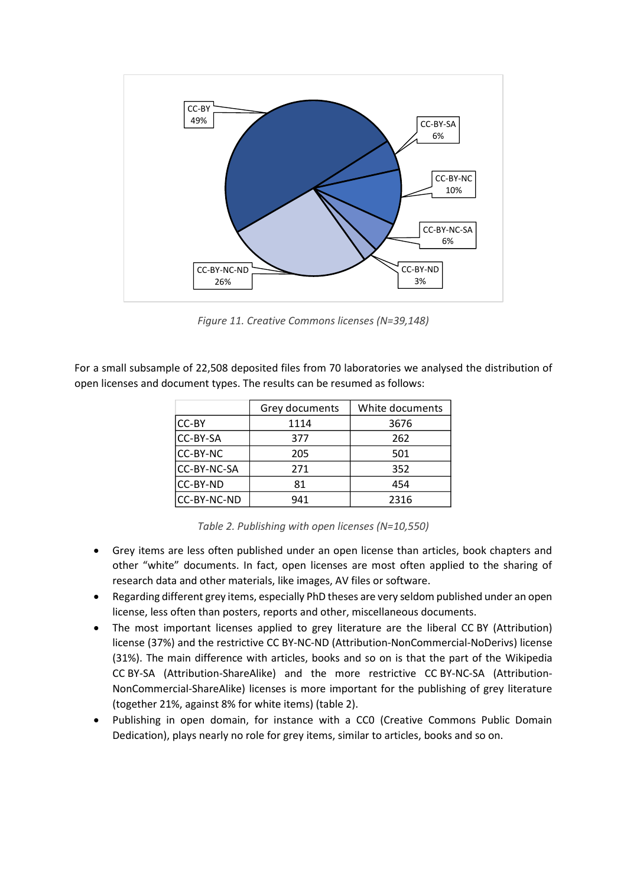

*Figure 11. Creative Commons licenses (N=39,148)*

For a small subsample of 22,508 deposited files from 70 laboratories we analysed the distribution of open licenses and document types. The results can be resumed as follows:

|                 | Grey documents | White documents |  |  |
|-----------------|----------------|-----------------|--|--|
| <b>CC-BY</b>    | 1114           | 3676            |  |  |
| <b>CC-BY-SA</b> | 377            | 262             |  |  |
| <b>CC-BY-NC</b> | 205            | 501             |  |  |
| CC-BY-NC-SA     | 271            | 352             |  |  |
| CC-BY-ND        | 81             | 454             |  |  |
| CC-BY-NC-ND     | 941            | 2316            |  |  |

*Table 2. Publishing with open licenses (N=10,550)*

- Grey items are less often published under an open license than articles, book chapters and other "white" documents. In fact, open licenses are most often applied to the sharing of research data and other materials, like images, AV files or software.
- Regarding different grey items, especially PhD theses are very seldom published under an open license, less often than posters, reports and other, miscellaneous documents.
- The most important licenses applied to grey literature are the liberal CC BY (Attribution) license (37%) and the restrictive CC BY-NC-ND (Attribution-NonCommercial-NoDerivs) license (31%). The main difference with articles, books and so on is that the part of the Wikipedia CC BY-SA (Attribution-ShareAlike) and the more restrictive CC BY-NC-SA (Attribution-NonCommercial-ShareAlike) licenses is more important for the publishing of grey literature (together 21%, against 8% for white items) (table 2).
- Publishing in open domain, for instance with a CC0 (Creative Commons Public Domain Dedication), plays nearly no role for grey items, similar to articles, books and so on.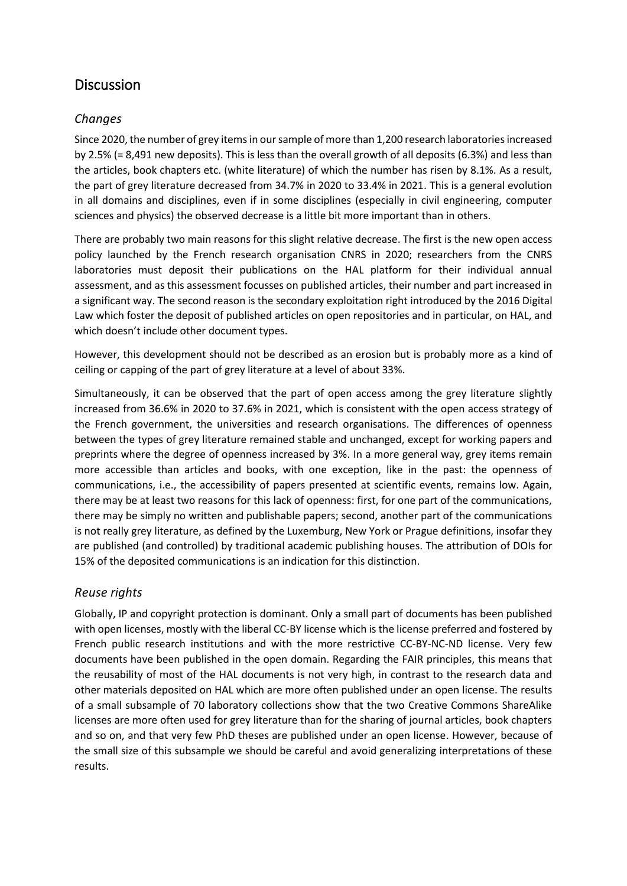# **Discussion**

### *Changes*

Since 2020, the number of grey items in our sample of more than 1,200 research laboratories increased by 2.5% (= 8,491 new deposits). This is less than the overall growth of all deposits (6.3%) and less than the articles, book chapters etc. (white literature) of which the number has risen by 8.1%. As a result, the part of grey literature decreased from 34.7% in 2020 to 33.4% in 2021. This is a general evolution in all domains and disciplines, even if in some disciplines (especially in civil engineering, computer sciences and physics) the observed decrease is a little bit more important than in others.

There are probably two main reasons for this slight relative decrease. The first is the new open access policy launched by the French research organisation CNRS in 2020; researchers from the CNRS laboratories must deposit their publications on the HAL platform for their individual annual assessment, and as this assessment focusses on published articles, their number and part increased in a significant way. The second reason is the secondary exploitation right introduced by the 2016 Digital Law which foster the deposit of published articles on open repositories and in particular, on HAL, and which doesn't include other document types.

However, this development should not be described as an erosion but is probably more as a kind of ceiling or capping of the part of grey literature at a level of about 33%.

Simultaneously, it can be observed that the part of open access among the grey literature slightly increased from 36.6% in 2020 to 37.6% in 2021, which is consistent with the open access strategy of the French government, the universities and research organisations. The differences of openness between the types of grey literature remained stable and unchanged, except for working papers and preprints where the degree of openness increased by 3%. In a more general way, grey items remain more accessible than articles and books, with one exception, like in the past: the openness of communications, i.e., the accessibility of papers presented at scientific events, remains low. Again, there may be at least two reasons for this lack of openness: first, for one part of the communications, there may be simply no written and publishable papers; second, another part of the communications is not really grey literature, as defined by the Luxemburg, New York or Prague definitions, insofar they are published (and controlled) by traditional academic publishing houses. The attribution of DOIs for 15% of the deposited communications is an indication for this distinction.

#### *Reuse rights*

Globally, IP and copyright protection is dominant. Only a small part of documents has been published with open licenses, mostly with the liberal CC-BY license which is the license preferred and fostered by French public research institutions and with the more restrictive CC-BY-NC-ND license. Very few documents have been published in the open domain. Regarding the FAIR principles, this means that the reusability of most of the HAL documents is not very high, in contrast to the research data and other materials deposited on HAL which are more often published under an open license. The results of a small subsample of 70 laboratory collections show that the two Creative Commons ShareAlike licenses are more often used for grey literature than for the sharing of journal articles, book chapters and so on, and that very few PhD theses are published under an open license. However, because of the small size of this subsample we should be careful and avoid generalizing interpretations of these results.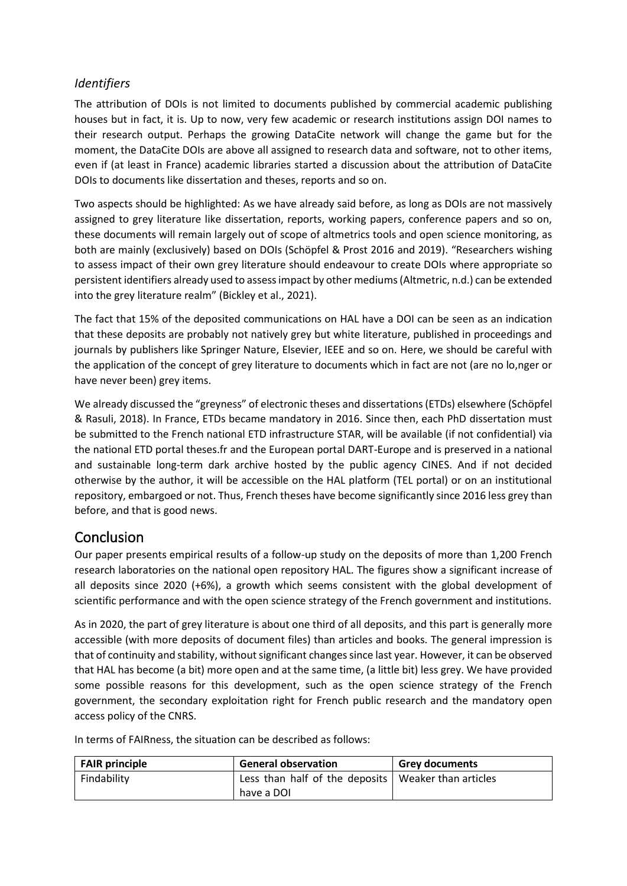#### *Identifiers*

The attribution of DOIs is not limited to documents published by commercial academic publishing houses but in fact, it is. Up to now, very few academic or research institutions assign DOI names to their research output. Perhaps the growing DataCite network will change the game but for the moment, the DataCite DOIs are above all assigned to research data and software, not to other items, even if (at least in France) academic libraries started a discussion about the attribution of DataCite DOIs to documents like dissertation and theses, reports and so on.

Two aspects should be highlighted: As we have already said before, as long as DOIs are not massively assigned to grey literature like dissertation, reports, working papers, conference papers and so on, these documents will remain largely out of scope of altmetrics tools and open science monitoring, as both are mainly (exclusively) based on DOIs (Schöpfel & Prost 2016 and 2019). "Researchers wishing to assess impact of their own grey literature should endeavour to create DOIs where appropriate so persistent identifiers already used to assess impact by other mediums (Altmetric, n.d.) can be extended into the grey literature realm" (Bickley et al., 2021).

The fact that 15% of the deposited communications on HAL have a DOI can be seen as an indication that these deposits are probably not natively grey but white literature, published in proceedings and journals by publishers like Springer Nature, Elsevier, IEEE and so on. Here, we should be careful with the application of the concept of grey literature to documents which in fact are not (are no lo,nger or have never been) grey items.

We already discussed the "greyness" of electronic theses and dissertations (ETDs) elsewhere (Schöpfel & Rasuli, 2018). In France, ETDs became mandatory in 2016. Since then, each PhD dissertation must be submitted to the French national ETD infrastructure STAR, will be available (if not confidential) via the national ETD portal theses.fr and the European portal DART-Europe and is preserved in a national and sustainable long-term dark archive hosted by the public agency CINES. And if not decided otherwise by the author, it will be accessible on the HAL platform (TEL portal) or on an institutional repository, embargoed or not. Thus, French theses have become significantly since 2016 less grey than before, and that is good news.

### Conclusion

Our paper presents empirical results of a follow-up study on the deposits of more than 1,200 French research laboratories on the national open repository HAL. The figures show a significant increase of all deposits since 2020 (+6%), a growth which seems consistent with the global development of scientific performance and with the open science strategy of the French government and institutions.

As in 2020, the part of grey literature is about one third of all deposits, and this part is generally more accessible (with more deposits of document files) than articles and books. The general impression is that of continuity and stability, without significant changes since last year. However, it can be observed that HAL has become (a bit) more open and at the same time, (a little bit) less grey. We have provided some possible reasons for this development, such as the open science strategy of the French government, the secondary exploitation right for French public research and the mandatory open access policy of the CNRS.

In terms of FAIRness, the situation can be described as follows:

| <b>FAIR principle</b> | <b>General observation</b>                            | <b>Grey documents</b> |  |
|-----------------------|-------------------------------------------------------|-----------------------|--|
| Findability           | Less than half of the deposits   Weaker than articles |                       |  |
|                       | have a DOI                                            |                       |  |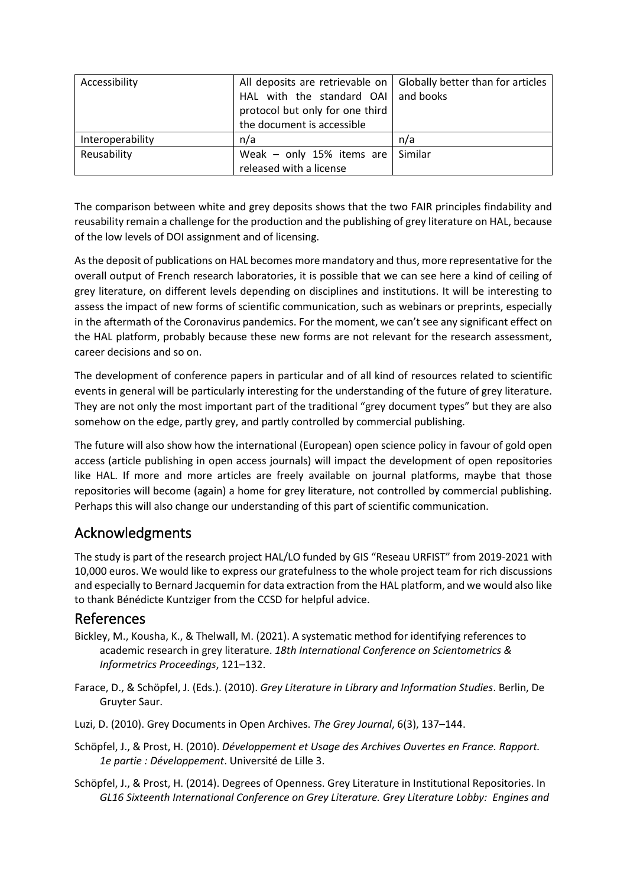| Accessibility    | All deposits are retrievable on $\vert$ Globally better than for articles |         |
|------------------|---------------------------------------------------------------------------|---------|
|                  | HAL with the standard $OAI$ and books                                     |         |
|                  | protocol but only for one third                                           |         |
|                  | the document is accessible                                                |         |
| Interoperability | n/a                                                                       | n/a     |
| Reusability      | Weak - only 15% items are                                                 | Similar |
|                  | released with a license                                                   |         |

The comparison between white and grey deposits shows that the two FAIR principles findability and reusability remain a challenge for the production and the publishing of grey literature on HAL, because of the low levels of DOI assignment and of licensing.

As the deposit of publications on HAL becomes more mandatory and thus, more representative for the overall output of French research laboratories, it is possible that we can see here a kind of ceiling of grey literature, on different levels depending on disciplines and institutions. It will be interesting to assess the impact of new forms of scientific communication, such as webinars or preprints, especially in the aftermath of the Coronavirus pandemics. For the moment, we can't see any significant effect on the HAL platform, probably because these new forms are not relevant for the research assessment, career decisions and so on.

The development of conference papers in particular and of all kind of resources related to scientific events in general will be particularly interesting for the understanding of the future of grey literature. They are not only the most important part of the traditional "grey document types" but they are also somehow on the edge, partly grey, and partly controlled by commercial publishing.

The future will also show how the international (European) open science policy in favour of gold open access (article publishing in open access journals) will impact the development of open repositories like HAL. If more and more articles are freely available on journal platforms, maybe that those repositories will become (again) a home for grey literature, not controlled by commercial publishing. Perhaps this will also change our understanding of this part of scientific communication.

### Acknowledgments

The study is part of the research project HAL/LO funded by GIS "Reseau URFIST" from 2019-2021 with 10,000 euros. We would like to express our gratefulness to the whole project team for rich discussions and especially to Bernard Jacquemin for data extraction from the HAL platform, and we would also like to thank Bénédicte Kuntziger from the CCSD for helpful advice.

### References

- Bickley, M., Kousha, K., & Thelwall, M. (2021). A systematic method for identifying references to academic research in grey literature. *18th International Conference on Scientometrics & Informetrics Proceedings*, 121–132.
- Farace, D., & Schöpfel, J. (Eds.). (2010). *Grey Literature in Library and Information Studies*. Berlin, De Gruyter Saur.
- Luzi, D. (2010). Grey Documents in Open Archives. *The Grey Journal*, 6(3), 137–144.
- Schöpfel, J., & Prost, H. (2010). *Développement et Usage des Archives Ouvertes en France. Rapport. 1e partie : Développement*. Université de Lille 3.
- Schöpfel, J., & Prost, H. (2014). Degrees of Openness. Grey Literature in Institutional Repositories. In *GL16 Sixteenth International Conference on Grey Literature. Grey Literature Lobby: Engines and*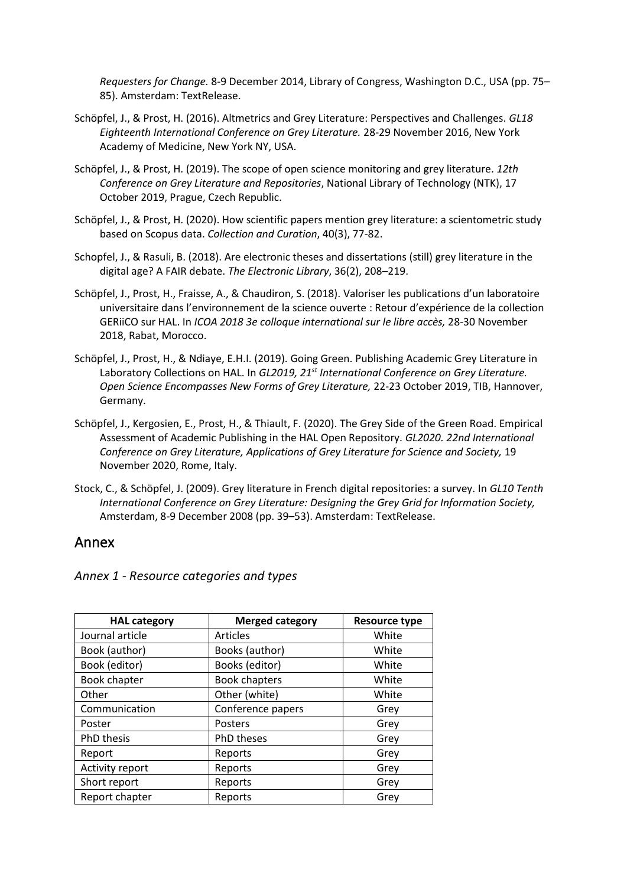*Requesters for Change.* 8-9 December 2014, Library of Congress, Washington D.C., USA (pp. 75– 85). Amsterdam: TextRelease.

- Schöpfel, J., & Prost, H. (2016). Altmetrics and Grey Literature: Perspectives and Challenges. *GL18 Eighteenth International Conference on Grey Literature.* 28-29 November 2016, New York Academy of Medicine, New York NY, USA.
- Schöpfel, J., & Prost, H. (2019). The scope of open science monitoring and grey literature. *12th Conference on Grey Literature and Repositories*, National Library of Technology (NTK), 17 October 2019, Prague, Czech Republic.
- Schöpfel, J., & Prost, H. (2020). How scientific papers mention grey literature: a scientometric study based on Scopus data. *Collection and Curation*, 40(3), 77-82.
- Schopfel, J., & Rasuli, B. (2018). Are electronic theses and dissertations (still) grey literature in the digital age? A FAIR debate. *The Electronic Library*, 36(2), 208–219.
- Schöpfel, J., Prost, H., Fraisse, A., & Chaudiron, S. (2018). Valoriser les publications d'un laboratoire universitaire dans l'environnement de la science ouverte : Retour d'expérience de la collection GERiiCO sur HAL. In *ICOA 2018 3e colloque international sur le libre accès,* 28-30 November 2018, Rabat, Morocco.
- Schöpfel, J., Prost, H., & Ndiaye, E.H.I. (2019). Going Green. Publishing Academic Grey Literature in Laboratory Collections on HAL. In *GL2019, 21st International Conference on Grey Literature. Open Science Encompasses New Forms of Grey Literature,* 22-23 October 2019, TIB, Hannover, Germany.
- Schöpfel, J., Kergosien, E., Prost, H., & Thiault, F. (2020). The Grey Side of the Green Road. Empirical Assessment of Academic Publishing in the HAL Open Repository. *GL2020. 22nd International Conference on Grey Literature, Applications of Grey Literature for Science and Society,* 19 November 2020, Rome, Italy.
- Stock, C., & Schöpfel, J. (2009). Grey literature in French digital repositories: a survey. In *GL10 Tenth International Conference on Grey Literature: Designing the Grey Grid for Information Society,*  Amsterdam, 8-9 December 2008 (pp. 39–53). Amsterdam: TextRelease.

### Annex

*Annex 1 - Resource categories and types*

| <b>HAL category</b> | <b>Merged category</b> | <b>Resource type</b> |
|---------------------|------------------------|----------------------|
| Journal article     | <b>Articles</b>        | White                |
| Book (author)       | Books (author)         | White                |
| Book (editor)       | Books (editor)         | White                |
| Book chapter        | <b>Book chapters</b>   | White                |
| Other               | Other (white)          | White                |
| Communication       | Conference papers      | Grey                 |
| Poster              | Posters                | Grey                 |
| PhD thesis          | <b>PhD theses</b>      | Grey                 |
| Report              | Reports                | Grey                 |
| Activity report     | Reports                | Grey                 |
| Short report        | Reports                | Grey                 |
| Report chapter      | Reports                | Grey                 |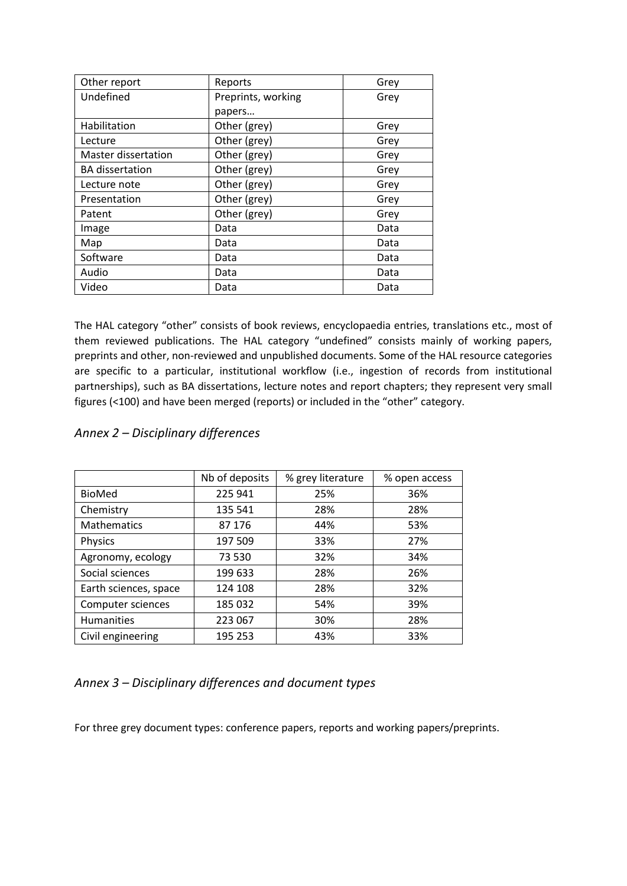| Other report           | Reports            | Grey |
|------------------------|--------------------|------|
| Undefined              | Preprints, working | Grey |
|                        | papers             |      |
| Habilitation           | Other (grey)       | Grey |
| Lecture                | Other (grey)       | Grey |
| Master dissertation    | Other (grey)       | Grey |
| <b>BA</b> dissertation | Other (grey)       | Grey |
| Lecture note           | Other (grey)       | Grey |
| Presentation           | Other (grey)       | Grey |
| Patent                 | Other (grey)       | Grey |
| Image                  | Data               | Data |
| Map                    | Data               | Data |
| Software               | Data               | Data |
| Audio                  | Data               | Data |
| Video                  | Data               | Data |

The HAL category "other" consists of book reviews, encyclopaedia entries, translations etc., most of them reviewed publications. The HAL category "undefined" consists mainly of working papers, preprints and other, non-reviewed and unpublished documents. Some of the HAL resource categories are specific to a particular, institutional workflow (i.e., ingestion of records from institutional partnerships), such as BA dissertations, lecture notes and report chapters; they represent very small figures (<100) and have been merged (reports) or included in the "other" category.

|                       | Nb of deposits | % grey literature | % open access |
|-----------------------|----------------|-------------------|---------------|
| BioMed                | 225 941        | 25%               | 36%           |
| Chemistry             | 135 541        | 28%               | 28%           |
| Mathematics           | 87 176         | 44%               | 53%           |
| Physics               | 197 509        | 33%               | 27%           |
| Agronomy, ecology     | 73 530         | 32%               | 34%           |
| Social sciences       | 199 633        | 28%               | 26%           |
| Earth sciences, space | 124 108        | 28%               | 32%           |
| Computer sciences     | 185 032        | 54%               | 39%           |
| Humanities            | 223 067        | 30%               | 28%           |
| Civil engineering     | 195 253        | 43%               | 33%           |

#### *Annex 2 – Disciplinary differences*

#### *Annex 3 – Disciplinary differences and document types*

For three grey document types: conference papers, reports and working papers/preprints.